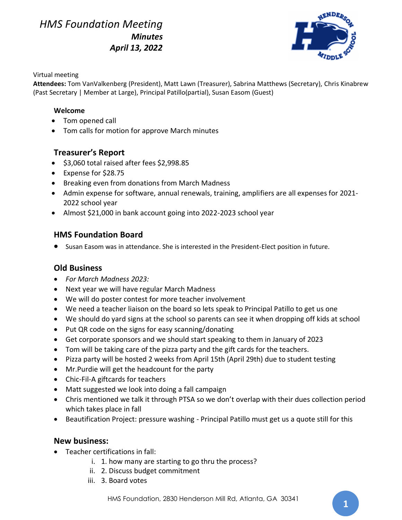*HMS Foundation Meeting Minutes April 13, 2022*



#### Virtual meeting

**Attendees:** Tom VanValkenberg (President), Matt Lawn (Treasurer), Sabrina Matthews (Secretary), Chris Kinabrew (Past Secretary | Member at Large), Principal Patillo(partial), Susan Easom (Guest)

#### **Welcome**

- Tom opened call
- Tom calls for motion for approve March minutes

## **Treasurer's Report**

- \$3,060 total raised after fees \$2,998.85
- Expense for \$28.75
- Breaking even from donations from March Madness
- Admin expense for software, annual renewals, training, amplifiers are all expenses for 2021- 2022 school year
- Almost \$21,000 in bank account going into 2022-2023 school year

## **HMS Foundation Board**

• Susan Easom was in attendance. She is interested in the President-Elect position in future.

## **Old Business**

- *For March Madness 2023:*
- Next year we will have regular March Madness
- We will do poster contest for more teacher involvement
- We need a teacher liaison on the board so lets speak to Principal Patillo to get us one
- We should do yard signs at the school so parents can see it when dropping off kids at school
- Put QR code on the signs for easy scanning/donating
- Get corporate sponsors and we should start speaking to them in January of 2023
- Tom will be taking care of the pizza party and the gift cards for the teachers.
- Pizza party will be hosted 2 weeks from April 15th (April 29th) due to student testing
- Mr.Purdie will get the headcount for the party
- Chic-Fil-A giftcards for teachers
- Matt suggested we look into doing a fall campaign
- Chris mentioned we talk it through PTSA so we don't overlap with their dues collection period which takes place in fall
- Beautification Project: pressure washing Principal Patillo must get us a quote still for this

#### **New business:**

- Teacher certifications in fall:
	- i. 1. how many are starting to go thru the process?
	- ii. 2. Discuss budget commitment
	- iii. 3. Board votes